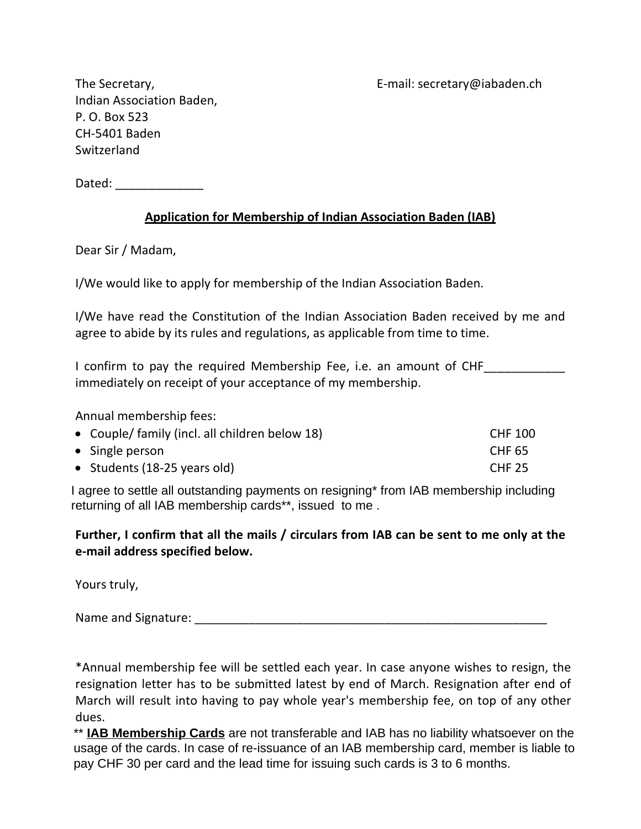The Secretary, The Secretary example and the Secretary of E-mail: secretary @iabaden.ch

Indian Association Baden, P. O. Box 523 CH-5401 Baden **Switzerland** 

Dated:  $\Box$ 

## **Application for Membership of Indian Association Baden (IAB)**

Dear Sir / Madam,

I/We would like to apply for membership of the Indian Association Baden.

I/We have read the Constitution of the Indian Association Baden received by me and agree to abide by its rules and regulations, as applicable from time to time.

I confirm to pay the required Membership Fee, i.e. an amount of CHF immediately on receipt of your acceptance of my membership.

Annual membership fees:

| • Couple/ family (incl. all children below 18) | <b>CHF 100</b> |
|------------------------------------------------|----------------|
| $\bullet$ Single person                        | <b>CHF 65</b>  |
| • Students (18-25 years old)                   | <b>CHF 25</b>  |

returning of all IAB membership cards\*\*, issued to me . I agree to settle all outstanding payments on resigning\* from IAB membership including

**Further, I confirm that all the mails / circulars from IAB can be sent to me only at the e-mail address specified below.**

Yours truly,

Name and Signature: \_\_\_\_\_\_\_\_\_\_\_\_\_\_\_\_\_\_\_\_\_\_\_\_\_\_\_\_\_\_\_\_\_\_\_\_\_\_\_\_\_\_\_\_\_\_\_\_\_\_\_\_

\*Annual membership fee will be settled each year. In case anyone wishes to resign, the resignation letter has to be submitted latest by end of March. Resignation after end of March will result into having to pay whole year's membership fee, on top of any other dues.

\*\* **IAB Membership Cards** are not transferable and IAB has no liability whatsoever on the usage of the cards. In case of re-issuance of an IAB membership card, member is liable to pay CHF 30 per card and the lead time for issuing such cards is 3 to 6 months.